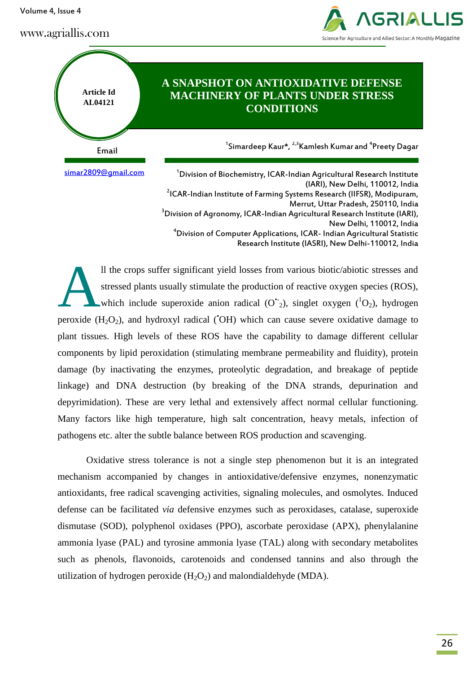Volume 4, Issue 4

# www.agriallis.com





<sup>4</sup>Division of Computer Applications, ICAR- Indian Agricultural Statistic

Research Institute (IASRI), New Delhi-110012, India

ll the crops suffer significant yield losses from various biotic/abiotic stresses and stressed plants usually stimulate the production of reactive oxygen species (ROS), which include superoxide anion radical  $(O^{\dagger}_{2})$ , singlet oxygen  $({}^{1}O_{2})$ , hydrogen peroxide  $(H_2O_2)$ , and hydroxyl radical ( $OH$ ) which can cause severe oxidative damage to plant tissues. High levels of these ROS have the capability to damage different cellular components by lipid peroxidation (stimulating membrane permeability and fluidity), protein damage (by inactivating the enzymes, proteolytic degradation, and breakage of peptide linkage) and DNA destruction (by breaking of the DNA strands, depurination and depyrimidation). These are very lethal and extensively affect normal cellular functioning. Many factors like high temperature, high salt concentration, heavy metals, infection of pathogens etc. alter the subtle balance between ROS production and scavenging. A

Oxidative stress tolerance is not a single step phenomenon but it is an integrated mechanism accompanied by changes in antioxidative/defensive enzymes, nonenzymatic antioxidants, free radical scavenging activities, signaling molecules, and osmolytes. Induced defense can be facilitated *via* defensive enzymes such as peroxidases, catalase, superoxide dismutase (SOD), polyphenol oxidases (PPO), ascorbate peroxidase (APX), phenylalanine ammonia lyase (PAL) and tyrosine ammonia lyase (TAL) along with secondary metabolites such as phenols, flavonoids, carotenoids and condensed tannins and also through the utilization of hydrogen peroxide  $(H_2O_2)$  and malondialdehyde (MDA).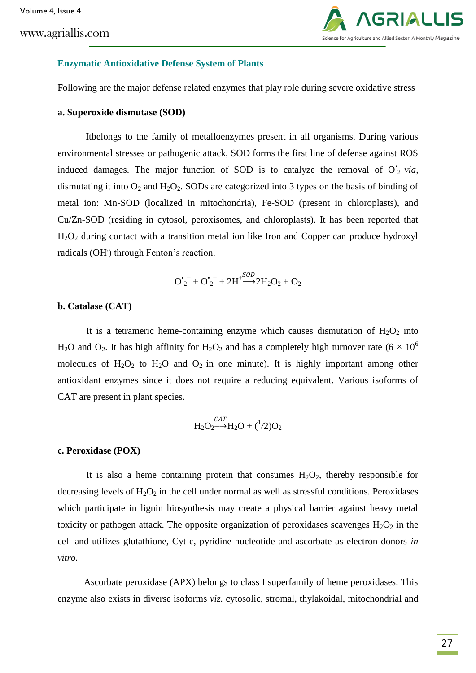www.agriallis.com



#### **Enzymatic Antioxidative Defense System of Plants**

Following are the major defense related enzymes that play role during severe oxidative stress

### **a. Superoxide dismutase (SOD)**

Itbelongs to the family of metalloenzymes present in all organisms. During various environmental stresses or pathogenic attack, SOD forms the first line of defense against ROS induced damages. The major function of SOD is to catalyze the removal of  $O<sub>2</sub><sup>+</sup> via$ , dismutating it into  $O_2$  and  $H_2O_2$ . SODs are categorized into 3 types on the basis of binding of metal ion: Mn-SOD (localized in mitochondria), Fe-SOD (present in chloroplasts), and Cu/Zn-SOD (residing in cytosol, peroxisomes, and chloroplasts). It has been reported that  $H<sub>2</sub>O<sub>2</sub>$  during contact with a transition metal ion like Iron and Copper can produce hydroxyl radicals (OH) through Fenton's reaction.

$$
\boldsymbol{O}_2^{\bullet -} + \boldsymbol{O}_2^{\bullet -} + 2\boldsymbol{H}^+\overset{\text{SOD}}{\longrightarrow} 2H_2\boldsymbol{O}_2 + \boldsymbol{O}_2
$$

### **b. Catalase (CAT)**

It is a tetrameric heme-containing enzyme which causes dismutation of  $H_2O_2$  into H<sub>2</sub>O and O<sub>2</sub>. It has high affinity for H<sub>2</sub>O<sub>2</sub> and has a completely high turnover rate (6  $\times$  10<sup>6</sup>) molecules of  $H_2O_2$  to  $H_2O$  and  $O_2$  in one minute). It is highly important among other antioxidant enzymes since it does not require a reducing equivalent. Various isoforms of CAT are present in plant species.

$$
H_2O_2 \xrightarrow{CAT} H_2O + (^{1}/2)O_2
$$

#### **c. Peroxidase (POX)**

It is also a heme containing protein that consumes  $H_2O_2$ , thereby responsible for decreasing levels of  $H_2O_2$  in the cell under normal as well as stressful conditions. Peroxidases which participate in lignin biosynthesis may create a physical barrier against heavy metal toxicity or pathogen attack. The opposite organization of peroxidases scavenges  $H_2O_2$  in the cell and utilizes glutathione, Cyt c, pyridine nucleotide and ascorbate as electron donors *in vitro.*

 Ascorbate peroxidase (APX) belongs to class I superfamily of heme peroxidases. This enzyme also exists in diverse isoforms *viz.* cytosolic, stromal, thylakoidal, mitochondrial and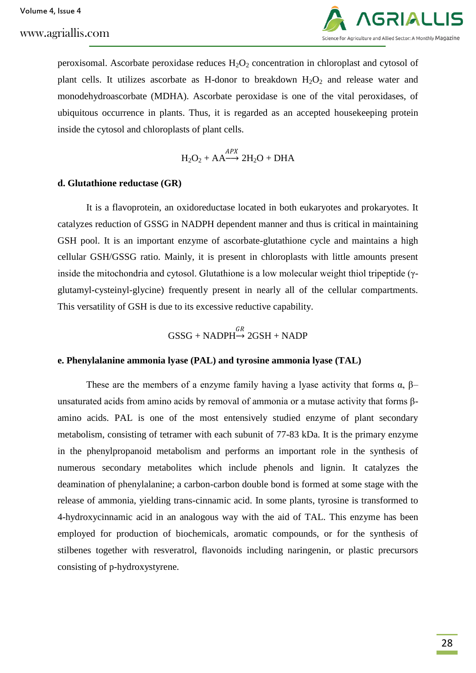www.agriallis.com



peroxisomal. Ascorbate peroxidase reduces  $H_2O_2$  concentration in chloroplast and cytosol of plant cells. It utilizes ascorbate as H-donor to breakdown  $H_2O_2$  and release water and monodehydroascorbate (MDHA). Ascorbate peroxidase is one of the vital peroxidases, of ubiquitous occurrence in plants. Thus, it is regarded as an accepted housekeeping protein inside the cytosol and chloroplasts of plant cells.

$$
H_2O_2 + AA \xrightarrow{APX} 2H_2O + DHA
$$

### **d. Glutathione reductase (GR)**

It is a flavoprotein, an oxidoreductase located in both eukaryotes and prokaryotes. It catalyzes reduction of GSSG in NADPH dependent manner and thus is critical in maintaining GSH pool. It is an important enzyme of ascorbate-glutathione cycle and maintains a high cellular GSH/GSSG ratio. Mainly, it is present in chloroplasts with little amounts present inside the mitochondria and cytosol. Glutathione is a low molecular weight thiol tripeptide (γglutamyl-cysteinyl-glycine) frequently present in nearly all of the cellular compartments. This versatility of GSH is due to its excessive reductive capability.

$$
\text{GSSG} + \text{NADPH} \xrightarrow{GR} 2\text{GSH} + \text{NADP}
$$

#### **e. Phenylalanine ammonia lyase (PAL) and tyrosine ammonia lyase (TAL)**

These are the members of a enzyme family having a lyase activity that forms  $\alpha$ ,  $\beta$ – unsaturated acids from amino acids by removal of ammonia or a mutase activity that forms βamino acids. PAL is one of the most entensively studied enzyme of plant secondary metabolism, consisting of tetramer with each subunit of 77-83 kDa. It is the primary enzyme in the phenylpropanoid metabolism and performs an important role in the synthesis of numerous secondary metabolites which include phenols and lignin. It catalyzes the deamination of phenylalanine; a carbon-carbon double bond is formed at some stage with the release of ammonia, yielding trans-cinnamic acid. In some plants, tyrosine is transformed to 4-hydroxycinnamic acid in an analogous way with the aid of TAL. This enzyme has been employed for production of biochemicals, aromatic compounds, or for the synthesis of stilbenes together with resveratrol, flavonoids including naringenin, or plastic precursors consisting of p-hydroxystyrene.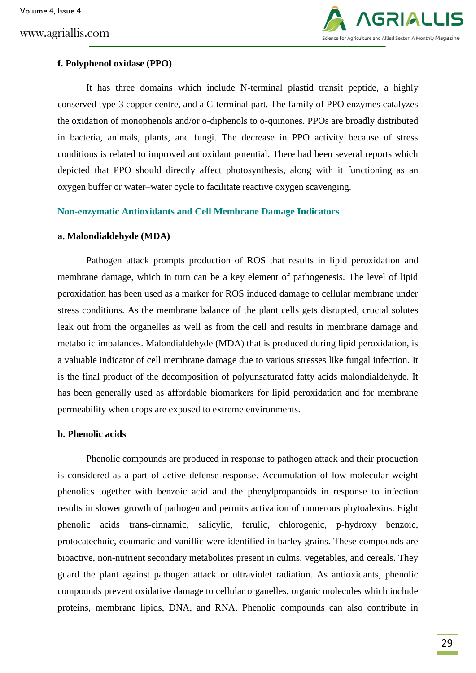

# **f. Polyphenol oxidase (PPO)**

It has three domains which include N-terminal plastid transit peptide, a highly conserved type-3 copper centre, and a C-terminal part. The family of PPO enzymes catalyzes the oxidation of monophenols and/or o-diphenols to o-quinones. PPOs are broadly distributed in bacteria, animals, plants, and fungi. The decrease in PPO activity because of stress conditions is related to improved antioxidant potential. There had been several reports which depicted that PPO should directly affect photosynthesis, along with it functioning as an oxygen buffer or water–water cycle to facilitate reactive oxygen scavenging.

### **Non-enzymatic Antioxidants and Cell Membrane Damage Indicators**

### **a. Malondialdehyde (MDA)**

Pathogen attack prompts production of ROS that results in lipid peroxidation and membrane damage, which in turn can be a key element of pathogenesis. The level of lipid peroxidation has been used as a marker for ROS induced damage to cellular membrane under stress conditions. As the membrane balance of the plant cells gets disrupted, crucial solutes leak out from the organelles as well as from the cell and results in membrane damage and metabolic imbalances. Malondialdehyde (MDA) that is produced during lipid peroxidation, is a valuable indicator of cell membrane damage due to various stresses like fungal infection. It is the final product of the decomposition of polyunsaturated fatty acids malondialdehyde. It has been generally used as affordable biomarkers for lipid peroxidation and for membrane permeability when crops are exposed to extreme environments.

### **b. Phenolic acids**

Phenolic compounds are produced in response to pathogen attack and their production is considered as a part of active defense response. Accumulation of low molecular weight phenolics together with benzoic acid and the phenylpropanoids in response to infection results in slower growth of pathogen and permits activation of numerous phytoalexins. Eight phenolic acids trans-cinnamic, salicylic, ferulic, chlorogenic, p-hydroxy benzoic, protocatechuic, coumaric and vanillic were identified in barley grains. These compounds are bioactive, non-nutrient secondary metabolites present in culms, vegetables, and cereals. They guard the plant against pathogen attack or ultraviolet radiation. As antioxidants, phenolic compounds prevent oxidative damage to cellular organelles, organic molecules which include proteins, membrane lipids, DNA, and RNA. Phenolic compounds can also contribute in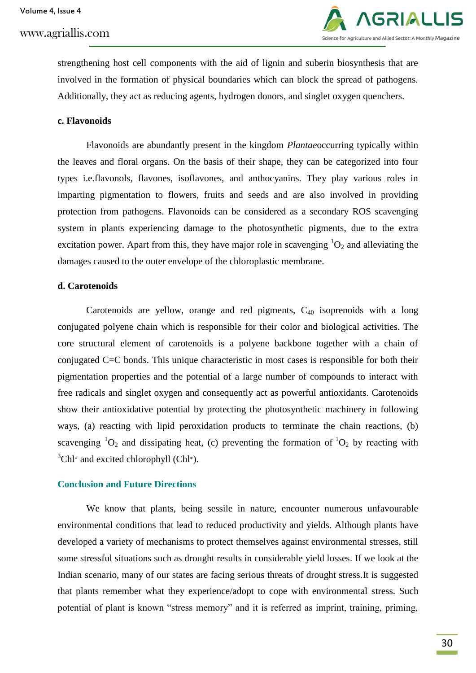

strengthening host cell components with the aid of lignin and suberin biosynthesis that are involved in the formation of physical boundaries which can block the spread of pathogens. Additionally, they act as reducing agents, hydrogen donors, and singlet oxygen quenchers.

#### **c. Flavonoids**

Flavonoids are abundantly present in the kingdom *Plantae*occurring typically within the leaves and floral organs. On the basis of their shape, they can be categorized into four types i.e.flavonols, flavones, isoflavones, and anthocyanins. They play various roles in imparting pigmentation to flowers, fruits and seeds and are also involved in providing protection from pathogens. Flavonoids can be considered as a secondary ROS scavenging system in plants experiencing damage to the photosynthetic pigments, due to the extra excitation power. Apart from this, they have major role in scavenging  ${}^{1}O_{2}$  and alleviating the damages caused to the outer envelope of the chloroplastic membrane.

### **d. Carotenoids**

Carotenoids are yellow, orange and red pigments,  $C_{40}$  isoprenoids with a long conjugated polyene chain which is responsible for their color and biological activities. The core structural element of carotenoids is a polyene backbone together with a chain of conjugated C=C bonds. This unique characteristic in most cases is responsible for both their pigmentation properties and the potential of a large number of compounds to interact with free radicals and singlet oxygen and consequently act as powerful antioxidants. Carotenoids show their antioxidative potential by protecting the photosynthetic machinery in following ways, (a) reacting with lipid peroxidation products to terminate the chain reactions, (b) scavenging  ${}^{1}O_{2}$  and dissipating heat, (c) preventing the formation of  ${}^{1}O_{2}$  by reacting with  ${}^{3}$ Chl<sup>∗</sup> and excited chlorophyll (Chl<sup>∗</sup>).

#### **Conclusion and Future Directions**

We know that plants, being sessile in nature, encounter numerous unfavourable environmental conditions that lead to reduced productivity and yields. Although plants have developed a variety of mechanisms to protect themselves against environmental stresses, still some stressful situations such as drought results in considerable yield losses. If we look at the Indian scenario, many of our states are facing serious threats of drought stress.It is suggested that plants remember what they experience/adopt to cope with environmental stress. Such potential of plant is known "stress memory" and it is referred as imprint, training, priming,